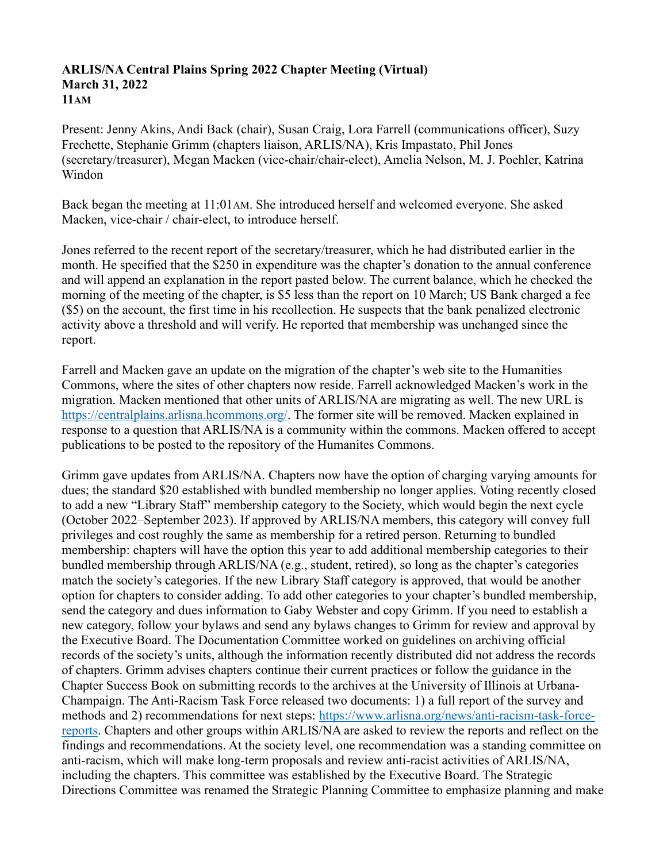#### **ARLIS/NA Central Plains Spring 2022 Chapter Meeting (Virtual) March 31, 2022 11AM**

Present: Jenny Akins, Andi Back (chair), Susan Craig, Lora Farrell (communications officer), Suzy Frechette, Stephanie Grimm (chapters liaison, ARLIS/NA), Kris Impastato, Phil Jones (secretary/treasurer), Megan Macken (vice-chair/chair-elect), Amelia Nelson, M. J. Poehler, Katrina Windon

Back began the meeting at 11:01AM. She introduced herself and welcomed everyone. She asked Macken, vice-chair / chair-elect, to introduce herself.

Jones referred to the recent report of the secretary/treasurer, which he had distributed earlier in the month. He specified that the \$250 in expenditure was the chapter's donation to the annual conference and will append an explanation in the report pasted below. The current balance, which he checked the morning of the meeting of the chapter, is \$5 less than the report on 10 March; US Bank charged a fee (\$5) on the account, the first time in his recollection. He suspects that the bank penalized electronic activity above a threshold and will verify. He reported that membership was unchanged since the report.

Farrell and Macken gave an update on the migration of the chapter's web site to the Humanities Commons, where the sites of other chapters now reside. Farrell acknowledged Macken's work in the migration. Macken mentioned that other units of ARLIS/NA are migrating as well. The new URL is [https://centralplains.arlisna.hcommons.org/.](https://centralplains.arlisna.hcommons.org/) The former site will be removed. Macken explained in response to a question that ARLIS/NA is a community within the commons. Macken offered to accept publications to be posted to the repository of the Humanites Commons.

Grimm gave updates from ARLIS/NA. Chapters now have the option of charging varying amounts for dues; the standard \$20 established with bundled membership no longer applies. Voting recently closed to add a new "Library Staff" membership category to the Society, which would begin the next cycle (October 2022–September 2023). If approved by ARLIS/NA members, this category will convey full privileges and cost roughly the same as membership for a retired person. Returning to bundled membership: chapters will have the option this year to add additional membership categories to their bundled membership through ARLIS/NA (e.g., student, retired), so long as the chapter's categories match the society's categories. If the new Library Staff category is approved, that would be another option for chapters to consider adding. To add other categories to your chapter's bundled membership, send the category and dues information to Gaby Webster and copy Grimm. If you need to establish a new category, follow your bylaws and send any bylaws changes to Grimm for review and approval by the Executive Board. The Documentation Committee worked on guidelines on archiving official records of the society's units, although the information recently distributed did not address the records of chapters. Grimm advises chapters continue their current practices or follow the guidance in the Chapter Success Book on submitting records to the archives at the University of Illinois at Urbana-Champaign. The Anti-Racism Task Force released two documents: 1) a full report of the survey and methods and 2) recommendations for next steps: [https://www.arlisna.org/news/anti-racism-task-force](https://www.arlisna.org/news/anti-racism-task-force-reports)[reports.](https://www.arlisna.org/news/anti-racism-task-force-reports) Chapters and other groups within ARLIS/NA are asked to review the reports and reflect on the findings and recommendations. At the society level, one recommendation was a standing committee on anti-racism, which will make long-term proposals and review anti-racist activities of ARLIS/NA, including the chapters. This committee was established by the Executive Board. The Strategic Directions Committee was renamed the Strategic Planning Committee to emphasize planning and make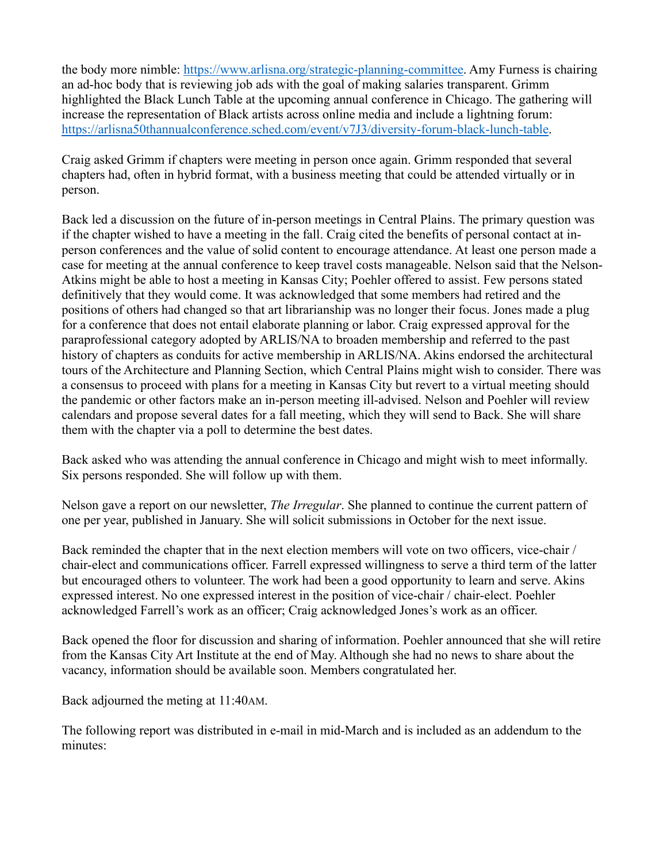the body more nimble: [https://www.arlisna.org/strategic-planning-committee.](https://www.arlisna.org/strategic-planning-committee) Amy Furness is chairing an ad-hoc body that is reviewing job ads with the goal of making salaries transparent. Grimm highlighted the Black Lunch Table at the upcoming annual conference in Chicago. The gathering will increase the representation of Black artists across online media and include a lightning forum: [https://arlisna50thannualconference.sched.com/event/v7J3/diversity-forum-black-lunch-table.](https://arlisna50thannualconference.sched.com/event/v7J3/diversity-forum-black-lunch-table)

Craig asked Grimm if chapters were meeting in person once again. Grimm responded that several chapters had, often in hybrid format, with a business meeting that could be attended virtually or in person.

Back led a discussion on the future of in-person meetings in Central Plains. The primary question was if the chapter wished to have a meeting in the fall. Craig cited the benefits of personal contact at inperson conferences and the value of solid content to encourage attendance. At least one person made a case for meeting at the annual conference to keep travel costs manageable. Nelson said that the Nelson-Atkins might be able to host a meeting in Kansas City; Poehler offered to assist. Few persons stated definitively that they would come. It was acknowledged that some members had retired and the positions of others had changed so that art librarianship was no longer their focus. Jones made a plug for a conference that does not entail elaborate planning or labor. Craig expressed approval for the paraprofessional category adopted by ARLIS/NA to broaden membership and referred to the past history of chapters as conduits for active membership in ARLIS/NA. Akins endorsed the architectural tours of the Architecture and Planning Section, which Central Plains might wish to consider. There was a consensus to proceed with plans for a meeting in Kansas City but revert to a virtual meeting should the pandemic or other factors make an in-person meeting ill-advised. Nelson and Poehler will review calendars and propose several dates for a fall meeting, which they will send to Back. She will share them with the chapter via a poll to determine the best dates.

Back asked who was attending the annual conference in Chicago and might wish to meet informally. Six persons responded. She will follow up with them.

Nelson gave a report on our newsletter, *The Irregular*. She planned to continue the current pattern of one per year, published in January. She will solicit submissions in October for the next issue.

Back reminded the chapter that in the next election members will vote on two officers, vice-chair / chair-elect and communications officer. Farrell expressed willingness to serve a third term of the latter but encouraged others to volunteer. The work had been a good opportunity to learn and serve. Akins expressed interest. No one expressed interest in the position of vice-chair / chair-elect. Poehler acknowledged Farrell's work as an officer; Craig acknowledged Jones's work as an officer.

Back opened the floor for discussion and sharing of information. Poehler announced that she will retire from the Kansas City Art Institute at the end of May. Although she had no news to share about the vacancy, information should be available soon. Members congratulated her.

Back adjourned the meting at 11:40AM.

The following report was distributed in e-mail in mid-March and is included as an addendum to the minutes: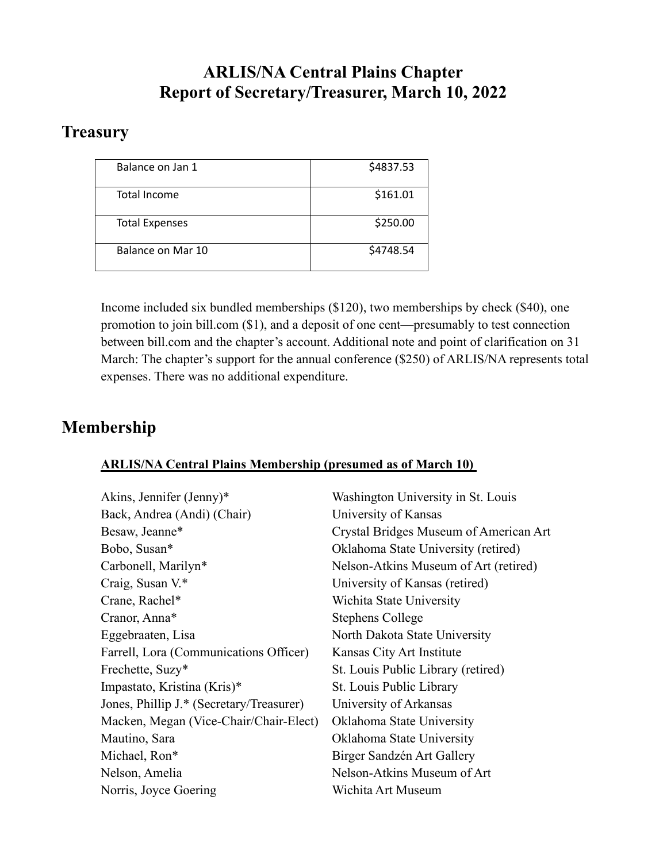## **ARLIS/NA Central Plains Chapter Report of Secretary/Treasurer, March 10, 2022**

### **Treasury**

| Balance on Jan 1      | \$4837.53 |
|-----------------------|-----------|
| Total Income          | \$161.01  |
| <b>Total Expenses</b> | \$250.00  |
| Balance on Mar 10     | \$4748.54 |

Income included six bundled memberships (\$120), two memberships by check (\$40), one promotion to join bill.com (\$1), and a deposit of one cent—presumably to test connection between bill.com and the chapter's account. Additional note and point of clarification on 31 March: The chapter's support for the annual conference (\$250) of ARLIS/NA represents total expenses. There was no additional expenditure.

# **Membership**

| Akins, Jennifer (Jenny)*                 | Washington University in St. Louis     |
|------------------------------------------|----------------------------------------|
| Back, Andrea (Andi) (Chair)              | University of Kansas                   |
| Besaw, Jeanne*                           | Crystal Bridges Museum of American Art |
| Bobo, Susan*                             | Oklahoma State University (retired)    |
| Carbonell, Marilyn*                      | Nelson-Atkins Museum of Art (retired)  |
| Craig, Susan V.*                         | University of Kansas (retired)         |
| Crane, Rachel*                           | Wichita State University               |
| Cranor, Anna*                            | <b>Stephens College</b>                |
| Eggebraaten, Lisa                        | North Dakota State University          |
| Farrell, Lora (Communications Officer)   | Kansas City Art Institute              |
| Frechette, Suzy*                         | St. Louis Public Library (retired)     |
| Impastato, Kristina (Kris)*              | St. Louis Public Library               |
| Jones, Phillip J.* (Secretary/Treasurer) | University of Arkansas                 |
| Macken, Megan (Vice-Chair/Chair-Elect)   | Oklahoma State University              |
| Mautino, Sara                            | Oklahoma State University              |
| Michael, Ron*                            | Birger Sandzén Art Gallery             |
| Nelson, Amelia                           | Nelson-Atkins Museum of Art            |
| Norris, Joyce Goering                    | Wichita Art Museum                     |

#### **ARLIS/NA Central Plains Membership (presumed as of March 10)**